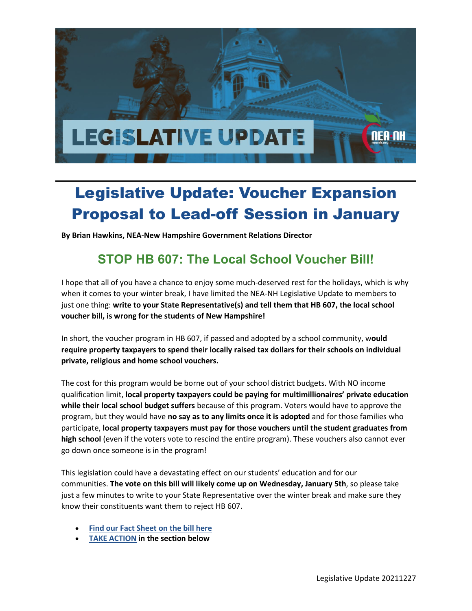

## Legislative Update: Voucher Expansion Proposal to Lead-off Session in January

**By Brian Hawkins, NEA-New Hampshire Government Relations Director**

## **STOP HB 607: The Local School Voucher Bill!**

I hope that all of you have a chance to enjoy some much-deserved rest for the holidays, which is why when it comes to your winter break, I have limited the NEA-NH Legislative Update to members to just one thing: **write to your State Representative(s) and tell them that HB 607, the local school voucher bill, is wrong for the students of New Hampshire!**

In short, the voucher program in HB 607, if passed and adopted by a school community, w**ould require property taxpayers to spend their locally raised tax dollars for their schools on individual private, religious and home school vouchers.**

The cost for this program would be borne out of your school district budgets. With NO income qualification limit, **local property taxpayers could be paying for multimillionaires' private education while their local school budget suffers** because of this program. Voters would have to approve the program, but they would have **no say as to any limits once it is adopted** and for those families who participate, **local property taxpayers must pay for those vouchers until the student graduates from high school** (even if the voters vote to rescind the entire program). These vouchers also cannot ever go down once someone is in the program!

This legislation could have a devastating effect on our students' education and for our communities. **The vote on this bill will likely come up on Wednesday, January 5th**, so please take just a few minutes to write to your State Representative over the winter break and make sure they know their constituents want them to reject HB 607.

- **[Find our Fact Sheet on the bill here](https://neanh.org/wp-content/uploads/2021/12/JTF_HB607a.pdf)**
- **[TAKE ACTION](https://neanh.org/nea-nh-legislative-dashboard/nea-nh-legislative-take-action-center/) in the section below**